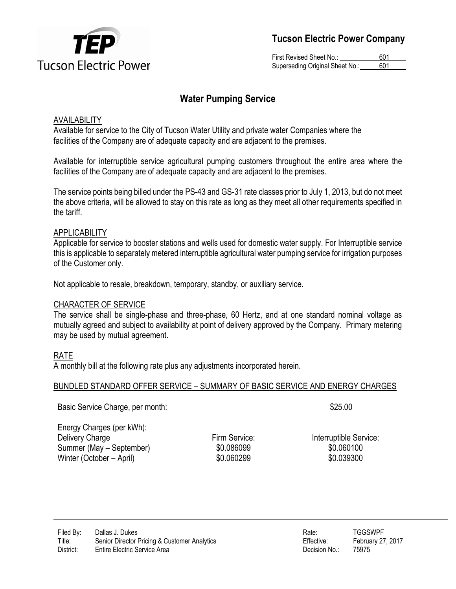

First Revised Sheet No.: 601 Superseding Original Sheet No.: 601

# **Water Pumping Service**

# AVAILABILITY

Available for service to the City of Tucson Water Utility and private water Companies where the facilities of the Company are of adequate capacity and are adjacent to the premises.

Available for interruptible service agricultural pumping customers throughout the entire area where the facilities of the Company are of adequate capacity and are adjacent to the premises.

The service points being billed under the PS-43 and GS-31 rate classes prior to July 1, 2013, but do not meet the above criteria, will be allowed to stay on this rate as long as they meet all other requirements specified in the tariff.

# APPLICABILITY

Applicable for service to booster stations and wells used for domestic water supply. For Interruptible service this is applicable to separately metered interruptible agricultural water pumping service for irrigation purposes of the Customer only.

Not applicable to resale, breakdown, temporary, standby, or auxiliary service.

## CHARACTER OF SERVICE

The service shall be single-phase and three-phase, 60 Hertz, and at one standard nominal voltage as mutually agreed and subject to availability at point of delivery approved by the Company. Primary metering may be used by mutual agreement.

# RATE

A monthly bill at the following rate plus any adjustments incorporated herein.

## BUNDLED STANDARD OFFER SERVICE – SUMMARY OF BASIC SERVICE AND ENERGY CHARGES

Basic Service Charge, per month:  $$25.00$ 

Energy Charges (per kWh): Delivery Charge **Firm Service:** Firm Service: Interruptible Service: Summer (May – September)  $$0.086099$  \$0.060100 Winter (October – April)  $$0.060299$  \$0.039300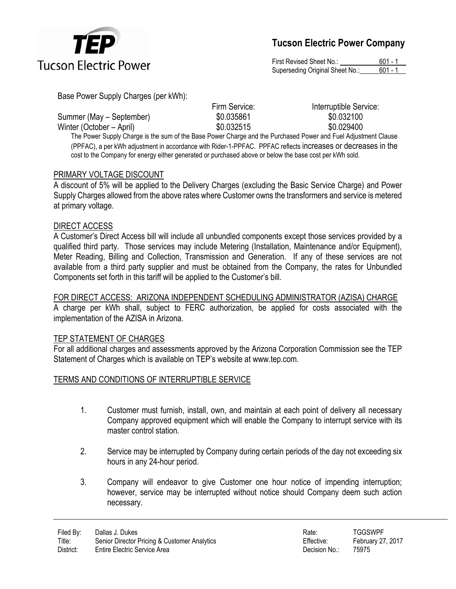

First Revised Sheet No.: 601 - 1 Superseding Original Sheet No.: 601 - 1

Base Power Supply Charges (per kWh):

Summer (May – September)  $$0.035861$  \$0.032100 Winter (October – April)  $$0.032515$  \$0.029400

Firm Service: Interruptible Service:

The Power Supply Charge is the sum of the Base Power Charge and the Purchased Power and Fuel Adjustment Clause (PPFAC), a per kWh adjustment in accordance with Rider-1-PPFAC. PPFAC reflects increases or decreases in the cost to the Company for energy either generated or purchased above or below the base cost per kWh sold.

# PRIMARY VOLTAGE DISCOUNT

A discount of 5% will be applied to the Delivery Charges (excluding the Basic Service Charge) and Power Supply Charges allowed from the above rates where Customer owns the transformers and service is metered at primary voltage.

## DIRECT ACCESS

A Customer's Direct Access bill will include all unbundled components except those services provided by a qualified third party. Those services may include Metering (Installation, Maintenance and/or Equipment), Meter Reading, Billing and Collection, Transmission and Generation. If any of these services are not available from a third party supplier and must be obtained from the Company, the rates for Unbundled Components set forth in this tariff will be applied to the Customer's bill.

# FOR DIRECT ACCESS: ARIZONA INDEPENDENT SCHEDULING ADMINISTRATOR (AZISA) CHARGE

A charge per kWh shall, subject to FERC authorization, be applied for costs associated with the implementation of the AZISA in Arizona.

## TEP STATEMENT OF CHARGES

For all additional charges and assessments approved by the Arizona Corporation Commission see the TEP Statement of Charges which is available on TEP's website at www.tep.com.

## TERMS AND CONDITIONS OF INTERRUPTIBLE SERVICE

- 1. Customer must furnish, install, own, and maintain at each point of delivery all necessary Company approved equipment which will enable the Company to interrupt service with its master control station.
- 2. Service may be interrupted by Company during certain periods of the day not exceeding six hours in any 24-hour period.
- 3. Company will endeavor to give Customer one hour notice of impending interruption; however, service may be interrupted without notice should Company deem such action necessary.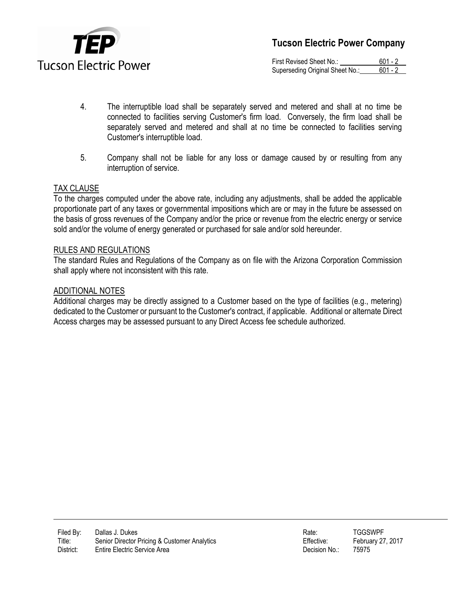

First Revised Sheet No.: 601 - 2 Superseding Original Sheet No.: 601 - 2

- 4. The interruptible load shall be separately served and metered and shall at no time be connected to facilities serving Customer's firm load. Conversely, the firm load shall be separately served and metered and shall at no time be connected to facilities serving Customer's interruptible load.
- 5. Company shall not be liable for any loss or damage caused by or resulting from any interruption of service.

## TAX CLAUSE

To the charges computed under the above rate, including any adjustments, shall be added the applicable proportionate part of any taxes or governmental impositions which are or may in the future be assessed on the basis of gross revenues of the Company and/or the price or revenue from the electric energy or service sold and/or the volume of energy generated or purchased for sale and/or sold hereunder.

## RULES AND REGULATIONS

The standard Rules and Regulations of the Company as on file with the Arizona Corporation Commission shall apply where not inconsistent with this rate.

#### ADDITIONAL NOTES

Additional charges may be directly assigned to a Customer based on the type of facilities (e.g., metering) dedicated to the Customer or pursuant to the Customer's contract, if applicable. Additional or alternate Direct Access charges may be assessed pursuant to any Direct Access fee schedule authorized.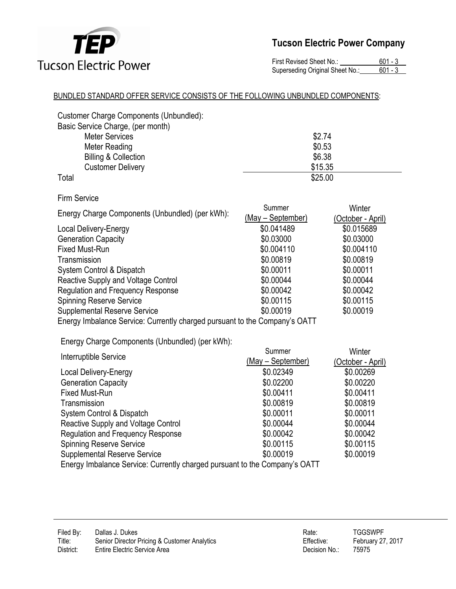

First Revised Sheet No.: 601 - 3<br>Superseding Original Sheet No.: 601 - 3 Superseding Original Sheet No.:

## BUNDLED STANDARD OFFER SERVICE CONSISTS OF THE FOLLOWING UNBUNDLED COMPONENTS:

| Customer Charge Components (Unbundled):<br>Basic Service Charge, (per month)<br><b>Meter Services</b><br><b>Meter Reading</b><br><b>Billing &amp; Collection</b><br><b>Customer Delivery</b> | \$2.74<br>\$0.53<br>\$6.38<br>\$15.35<br>\$25.00 |                             |
|----------------------------------------------------------------------------------------------------------------------------------------------------------------------------------------------|--------------------------------------------------|-----------------------------|
| Total                                                                                                                                                                                        |                                                  |                             |
| <b>Firm Service</b>                                                                                                                                                                          |                                                  |                             |
| Energy Charge Components (Unbundled) (per kWh):                                                                                                                                              | Summer<br>(May - September)                      | Winter<br>(October - April) |
| <b>Local Delivery-Energy</b>                                                                                                                                                                 | \$0.041489                                       | \$0.015689                  |
| <b>Generation Capacity</b>                                                                                                                                                                   | \$0.03000                                        | \$0.03000                   |
| <b>Fixed Must-Run</b>                                                                                                                                                                        | \$0.004110                                       | \$0.004110                  |
| Transmission                                                                                                                                                                                 | \$0.00819                                        | \$0.00819                   |
| System Control & Dispatch                                                                                                                                                                    | \$0.00011                                        | \$0.00011                   |
| Reactive Supply and Voltage Control                                                                                                                                                          | \$0.00044                                        | \$0.00044                   |
| <b>Regulation and Frequency Response</b>                                                                                                                                                     | \$0.00042                                        | \$0.00042                   |
| <b>Spinning Reserve Service</b>                                                                                                                                                              | \$0.00115                                        | \$0.00115                   |
| <b>Supplemental Reserve Service</b>                                                                                                                                                          | \$0.00019                                        | \$0.00019                   |
| Energy Imbalance Service: Currently charged pursuant to the Company's OATT                                                                                                                   |                                                  |                             |
| Energy Charge Components (Unbundled) (per kWh):                                                                                                                                              |                                                  |                             |
|                                                                                                                                                                                              | Summer                                           | Winter                      |
| Interruptible Service                                                                                                                                                                        | (May - September)                                | (October - April)           |
| <b>Local Delivery-Energy</b>                                                                                                                                                                 | \$0.02349                                        | \$0.00269                   |
| <b>Generation Capacity</b>                                                                                                                                                                   | \$0.02200                                        | \$0.00220                   |
| <b>Fixed Must-Run</b>                                                                                                                                                                        | \$0.00411                                        | \$0.00411                   |
| Transmission                                                                                                                                                                                 | \$0.00819                                        | \$0.00819                   |
| System Control & Dispatch                                                                                                                                                                    | \$0.00011                                        | \$0.00011                   |
| Reactive Supply and Voltage Control                                                                                                                                                          | \$0.00044                                        | \$0.00044                   |
| <b>Regulation and Frequency Response</b>                                                                                                                                                     | \$0.00042                                        | \$0.00042                   |
| <b>Spinning Reserve Service</b>                                                                                                                                                              | \$0.00115                                        | \$0.00115                   |
| <b>Supplemental Reserve Service</b>                                                                                                                                                          | \$0.00019                                        | \$0.00019                   |
| Energy Imbalance Service: Currently charged pursuant to the Company's OATT                                                                                                                   |                                                  |                             |